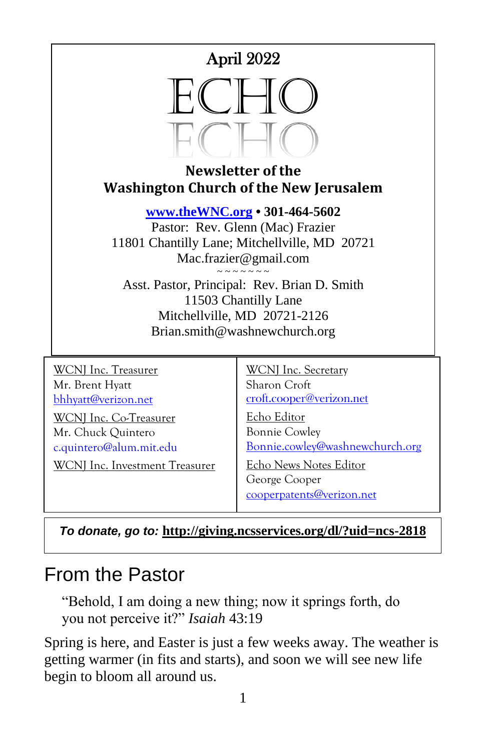



#### **Newsletter of the Washington Church of the New Jerusalem**

**[www.theWNC.org](http://www.thewnc.org/) • 301-464-5602**

Pastor: Rev. Glenn (Mac) Frazier 11801 Chantilly Lane; Mitchellville, MD 20721 Mac.frazier@gmail.com

 $\sim$   $\sim$   $\sim$   $\sim$   $\sim$   $\sim$ Asst. Pastor, Principal: Rev. Brian D. Smith 11503 Chantilly Lane Mitchellville, MD 20721-2126 Brian.smith@washnewchurch.org

WCNJ Inc. Treasurer Mr. Brent Hyatt [bhhyatt@verizon.net](mailto:bhhyatt@verizon.net)

WCNJ Inc. Co-Treasurer Mr. Chuck Quintero c.quintero@alum.mit.edu

WCNJ Inc. Investment Treasurer

WCNJ Inc. Secretary Sharon Croft [croft.cooper@verizon.net](mailto:croft.cooper@verizon.net)

Echo Editor Bonnie Cowley [Bonnie.cowley@washnewchurch.org](mailto:Bonnie.cowley@washnewchurch.org)

Echo News Notes Editor George Cooper [cooperpatents@verizon.net](mailto:cooperpatents@verizon.net)

*To donate, go to:* **<http://giving.ncsservices.org/dl/?uid=ncs-2818>**

# From the Pastor

"Behold, I am doing a new thing; now it springs forth, do you not perceive it?" *Isaiah* 43:19

Spring is here, and Easter is just a few weeks away. The weather is getting warmer (in fits and starts), and soon we will see new life begin to bloom all around us.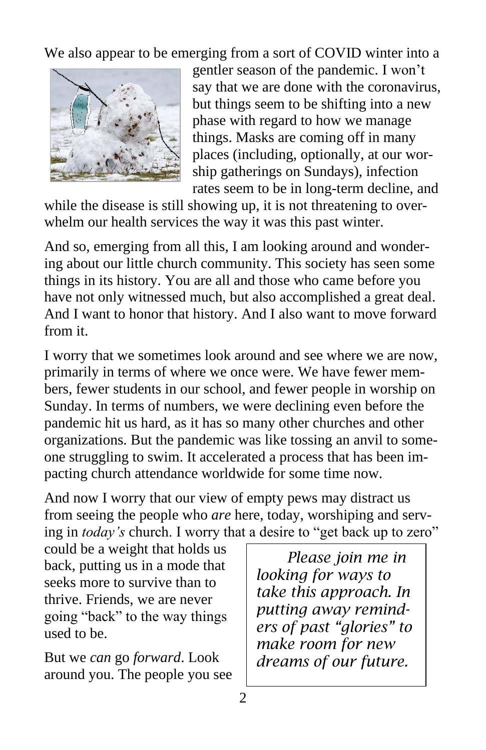We also appear to be emerging from a sort of COVID winter into a



gentler season of the pandemic. I won't say that we are done with the coronavirus, but things seem to be shifting into a new phase with regard to how we manage things. Masks are coming off in many places (including, optionally, at our worship gatherings on Sundays), infection rates seem to be in long-term decline, and

while the disease is still showing up, it is not threatening to overwhelm our health services the way it was this past winter.

And so, emerging from all this, I am looking around and wondering about our little church community. This society has seen some things in its history. You are all and those who came before you have not only witnessed much, but also accomplished a great deal. And I want to honor that history. And I also want to move forward from it.

I worry that we sometimes look around and see where we are now, primarily in terms of where we once were. We have fewer members, fewer students in our school, and fewer people in worship on Sunday. In terms of numbers, we were declining even before the pandemic hit us hard, as it has so many other churches and other organizations. But the pandemic was like tossing an anvil to someone struggling to swim. It accelerated a process that has been impacting church attendance worldwide for some time now.

And now I worry that our view of empty pews may distract us from seeing the people who *are* here, today, worshiping and serving in *today's* church. I worry that a desire to "get back up to zero"

could be a weight that holds us back, putting us in a mode that seeks more to survive than to thrive. Friends, we are never going "back" to the way things used to be.

But we *can* go *forward*. Look around you. The people you see

 *Please join me in looking for ways to take this approach. In putting away reminders of past "glories" to make room for new dreams of our future.*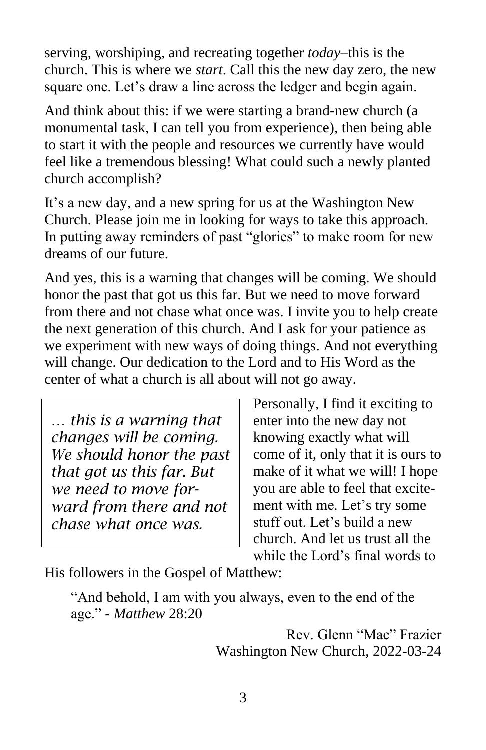serving, worshiping, and recreating together *today*–this is the church. This is where we *start*. Call this the new day zero, the new square one. Let's draw a line across the ledger and begin again.

And think about this: if we were starting a brand-new church (a monumental task, I can tell you from experience), then being able to start it with the people and resources we currently have would feel like a tremendous blessing! What could such a newly planted church accomplish?

It's a new day, and a new spring for us at the Washington New Church. Please join me in looking for ways to take this approach. In putting away reminders of past "glories" to make room for new dreams of our future.

And yes, this is a warning that changes will be coming. We should honor the past that got us this far. But we need to move forward from there and not chase what once was. I invite you to help create the next generation of this church. And I ask for your patience as we experiment with new ways of doing things. And not everything will change. Our dedication to the Lord and to His Word as the center of what a church is all about will not go away.

*… this is a warning that changes will be coming. We should honor the past that got us this far. But we need to move forward from there and not chase what once was.*

Personally, I find it exciting to enter into the new day not knowing exactly what will come of it, only that it is ours to make of it what we will! I hope you are able to feel that excitement with me. Let's try some stuff out. Let's build a new church. And let us trust all the while the Lord's final words to

His followers in the Gospel of Matthew:

"And behold, I am with you always, even to the end of the age." - *Matthew* 28:20

> Rev. Glenn "Mac" Frazier Washington New Church, 2022-03-24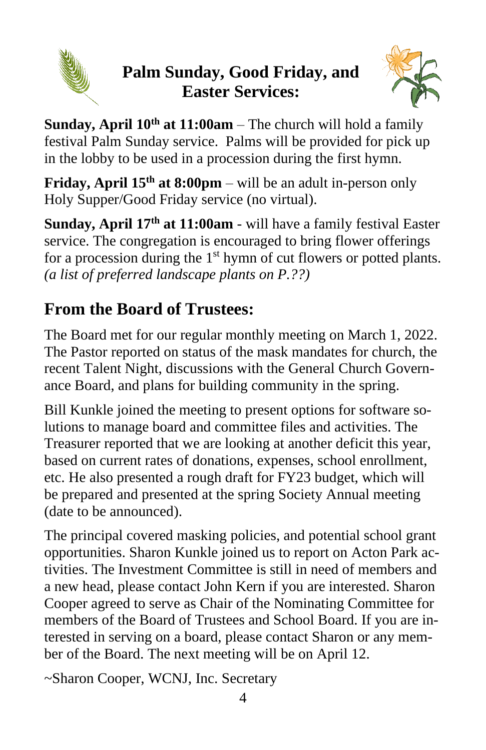

# **Palm Sunday, Good Friday, and Easter Services:**



**Sunday, April 10th at 11:00am** – The church will hold a family festival Palm Sunday service. Palms will be provided for pick up in the lobby to be used in a procession during the first hymn.

**Friday, April 15<sup>th</sup> at 8:00pm** – will be an adult in-person only Holy Supper/Good Friday service (no virtual).

**Sunday, April 17th at 11:00am** - will have a family festival Easter service. The congregation is encouraged to bring flower offerings for a procession during the  $1<sup>st</sup>$  hymn of cut flowers or potted plants. *(a list of preferred landscape plants on P.??)*

# **From the Board of Trustees:**

The Board met for our regular monthly meeting on March 1, 2022. The Pastor reported on status of the mask mandates for church, the recent Talent Night, discussions with the General Church Governance Board, and plans for building community in the spring.

Bill Kunkle joined the meeting to present options for software solutions to manage board and committee files and activities. The Treasurer reported that we are looking at another deficit this year, based on current rates of donations, expenses, school enrollment, etc. He also presented a rough draft for FY23 budget, which will be prepared and presented at the spring Society Annual meeting (date to be announced).

The principal covered masking policies, and potential school grant opportunities. Sharon Kunkle joined us to report on Acton Park activities. The Investment Committee is still in need of members and a new head, please contact John Kern if you are interested. Sharon Cooper agreed to serve as Chair of the Nominating Committee for members of the Board of Trustees and School Board. If you are interested in serving on a board, please contact Sharon or any member of the Board. The next meeting will be on April 12.

~Sharon Cooper, WCNJ, Inc. Secretary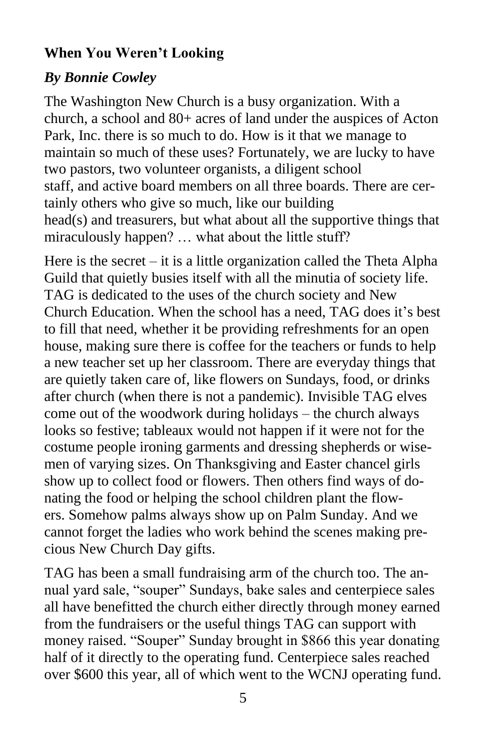#### **When You Weren't Looking**

#### *By Bonnie Cowley*

The Washington New Church is a busy organization. With a church, a school and 80+ acres of land under the auspices of Acton Park, Inc. there is so much to do. How is it that we manage to maintain so much of these uses? Fortunately, we are lucky to have two pastors, two volunteer organists, a diligent school staff, and active board members on all three boards. There are certainly others who give so much, like our building head(s) and treasurers, but what about all the supportive things that miraculously happen? … what about the little stuff?

Here is the secret – it is a little organization called the Theta Alpha Guild that quietly busies itself with all the minutia of society life. TAG is dedicated to the uses of the church society and New Church Education. When the school has a need, TAG does it's best to fill that need, whether it be providing refreshments for an open house, making sure there is coffee for the teachers or funds to help a new teacher set up her classroom. There are everyday things that are quietly taken care of, like flowers on Sundays, food, or drinks after church (when there is not a pandemic). Invisible TAG elves come out of the woodwork during holidays – the church always looks so festive; tableaux would not happen if it were not for the costume people ironing garments and dressing shepherds or wisemen of varying sizes. On Thanksgiving and Easter chancel girls show up to collect food or flowers. Then others find ways of donating the food or helping the school children plant the flowers. Somehow palms always show up on Palm Sunday. And we cannot forget the ladies who work behind the scenes making precious New Church Day gifts.

TAG has been a small fundraising arm of the church too. The annual yard sale, "souper" Sundays, bake sales and centerpiece sales all have benefitted the church either directly through money earned from the fundraisers or the useful things TAG can support with money raised. "Souper" Sunday brought in \$866 this year donating half of it directly to the operating fund. Centerpiece sales reached over \$600 this year, all of which went to the WCNJ operating fund.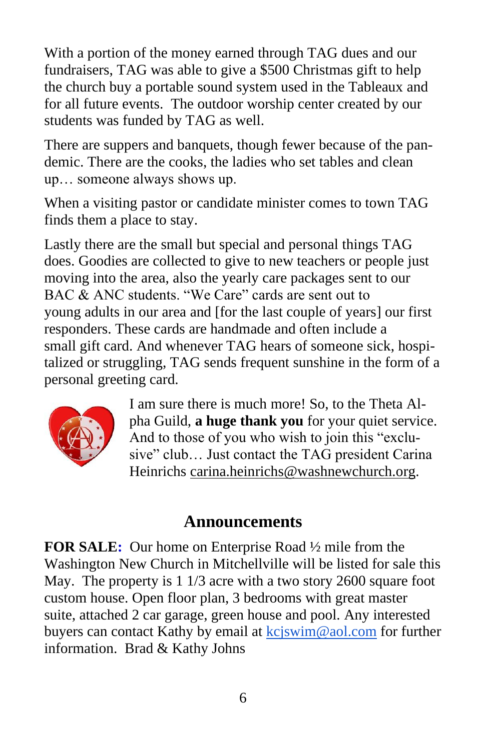With a portion of the money earned through TAG dues and our fundraisers, TAG was able to give a \$500 Christmas gift to help the church buy a portable sound system used in the Tableaux and for all future events. The outdoor worship center created by our students was funded by TAG as well.

There are suppers and banquets, though fewer because of the pandemic. There are the cooks, the ladies who set tables and clean up… someone always shows up.

When a visiting pastor or candidate minister comes to town TAG finds them a place to stay.

Lastly there are the small but special and personal things TAG does. Goodies are collected to give to new teachers or people just moving into the area, also the yearly care packages sent to our BAC & ANC students. "We Care" cards are sent out to young adults in our area and [for the last couple of years] our first responders. These cards are handmade and often include a small gift card. And whenever TAG hears of someone sick, hospitalized or struggling, TAG sends frequent sunshine in the form of a personal greeting card.



I am sure there is much more! So, to the Theta Alpha Guild, **a huge thank you** for your quiet service. And to those of you who wish to join this "exclusive" club… Just contact the TAG president Carina Heinrichs [carina.heinrichs@washnewchurch.org.](mailto:carina.heinrichs@washnewchurch.org)

#### **Announcements**

**FOR SALE:** Our home on Enterprise Road ½ mile from the Washington New Church in Mitchellville will be listed for sale this May. The property is 1 1/3 acre with a two story 2600 square foot custom house. Open floor plan, 3 bedrooms with great master suite, attached 2 car garage, green house and pool. Any interested buyers can contact Kathy by email at [kcjswim@aol.com](mailto:kcjswim@aol.com) for further information. Brad & Kathy Johns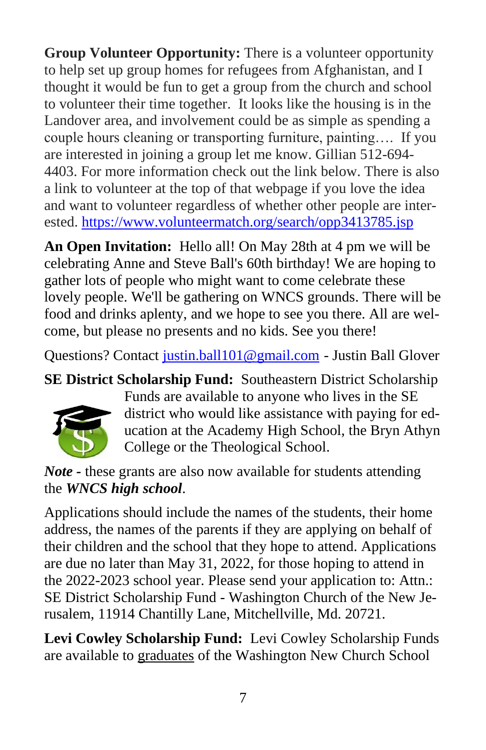**Group Volunteer Opportunity:** There is a volunteer opportunity to help set up group homes for refugees from Afghanistan, and I thought it would be fun to get a group from the church and school to volunteer their time together. It looks like the housing is in the Landover area, and involvement could be as simple as spending a couple hours cleaning or transporting furniture, painting…. If you are interested in joining a group let me know. Gillian 512-694- 4403. For more information check out the link below. There is also a link to volunteer at the top of that webpage if you love the idea and want to volunteer regardless of whether other people are interested. <https://www.volunteermatch.org/search/opp3413785.jsp>

**An Open Invitation:** Hello all! On May 28th at 4 pm we will be celebrating Anne and Steve Ball's 60th birthday! We are hoping to gather lots of people who might want to come celebrate these lovely people. We'll be gathering on WNCS grounds. There will be food and drinks aplenty, and we hope to see you there. All are welcome, but please no presents and no kids. See you there!

Questions? Contact [justin.ball101@gmail.com](mailto:justin.ball101@gmail.com) - Justin Ball Glover

**SE District Scholarship Fund:** Southeastern District Scholarship



Funds are available to anyone who lives in the SE district who would like assistance with paying for education at the Academy High School, the Bryn Athyn College or the Theological School.

*Note -* these grants are also now available for students attending the *WNCS high school*.

Applications should include the names of the students, their home address, the names of the parents if they are applying on behalf of their children and the school that they hope to attend. Applications are due no later than May 31, 2022, for those hoping to attend in the 2022-2023 school year. Please send your application to: Attn.: SE District Scholarship Fund - Washington Church of the New Jerusalem, 11914 Chantilly Lane, Mitchellville, Md. 20721.

**Levi Cowley Scholarship Fund:** Levi Cowley Scholarship Funds are available to graduates of the Washington New Church School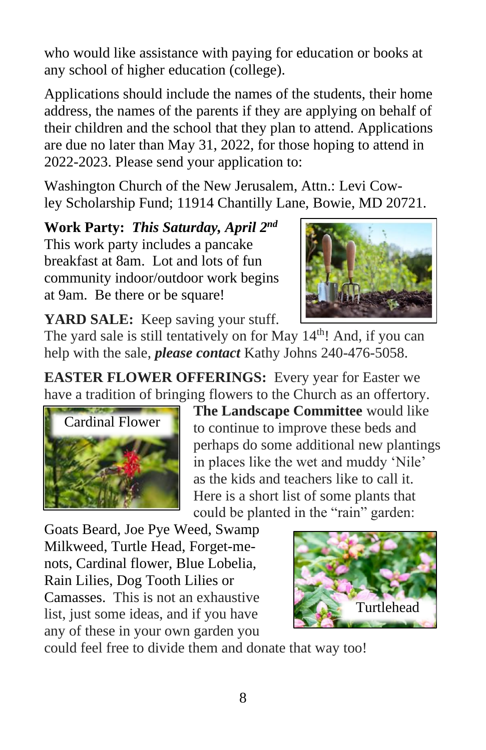who would like assistance with paying for education or books at any school of higher education (college).

Applications should include the names of the students, their home address, the names of the parents if they are applying on behalf of their children and the school that they plan to attend. Applications are due no later than May 31, 2022, for those hoping to attend in 2022-2023. Please send your application to:

Washington Church of the New Jerusalem, Attn.: Levi Cowley Scholarship Fund; 11914 Chantilly Lane, Bowie, MD 20721.

**Work Party:** *This Saturday, April 2 nd* This work party includes a pancake breakfast at 8am. Lot and lots of fun community indoor/outdoor work begins at 9am. Be there or be square!



YARD SALE: Keep saving your stuff.

The yard sale is still tentatively on for May  $14<sup>th</sup>$ ! And, if you can help with the sale, *please contact* Kathy Johns 240-476-5058.

**EASTER FLOWER OFFERINGS:** Every year for Easter we have a tradition of bringing flowers to the Church as an offertory.



**The Landscape Committee** would like to continue to improve these beds and perhaps do some additional new plantings in places like the wet and muddy 'Nile' as the kids and teachers like to call it. Here is a short list of some plants that could be planted in the "rain" garden:

Goats Beard, Joe Pye Weed, Swamp Milkweed, Turtle Head, Forget-menots, Cardinal flower, Blue Lobelia, Rain Lilies, Dog Tooth Lilies or Camasses. This is not an exhaustive list, just some ideas, and if you have any of these in your own garden you



could feel free to divide them and donate that way too!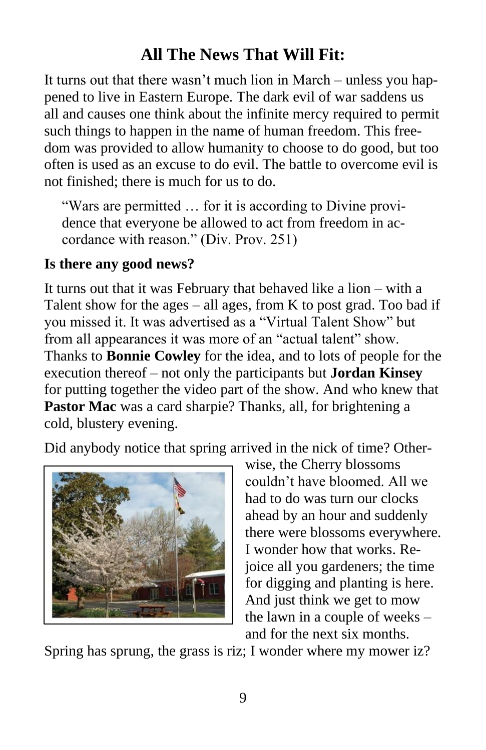## **All The News That Will Fit:**

It turns out that there wasn't much lion in March – unless you happened to live in Eastern Europe. The dark evil of war saddens us all and causes one think about the infinite mercy required to permit such things to happen in the name of human freedom. This freedom was provided to allow humanity to choose to do good, but too often is used as an excuse to do evil. The battle to overcome evil is not finished; there is much for us to do.

"Wars are permitted … for it is according to Divine providence that everyone be allowed to act from freedom in accordance with reason." (Div. Prov. 251)

#### **Is there any good news?**

It turns out that it was February that behaved like a lion – with a Talent show for the ages – all ages, from K to post grad. Too bad if you missed it. It was advertised as a "Virtual Talent Show" but from all appearances it was more of an "actual talent" show. Thanks to **Bonnie Cowley** for the idea, and to lots of people for the execution thereof – not only the participants but **Jordan Kinsey**  for putting together the video part of the show. And who knew that **Pastor Mac** was a card sharpie? Thanks, all, for brightening a cold, blustery evening.

Did anybody notice that spring arrived in the nick of time? Other-



wise, the Cherry blossoms couldn't have bloomed. All we had to do was turn our clocks ahead by an hour and suddenly there were blossoms everywhere. I wonder how that works. Rejoice all you gardeners; the time for digging and planting is here. And just think we get to mow the lawn in a couple of weeks – and for the next six months.

Spring has sprung, the grass is riz; I wonder where my mower iz?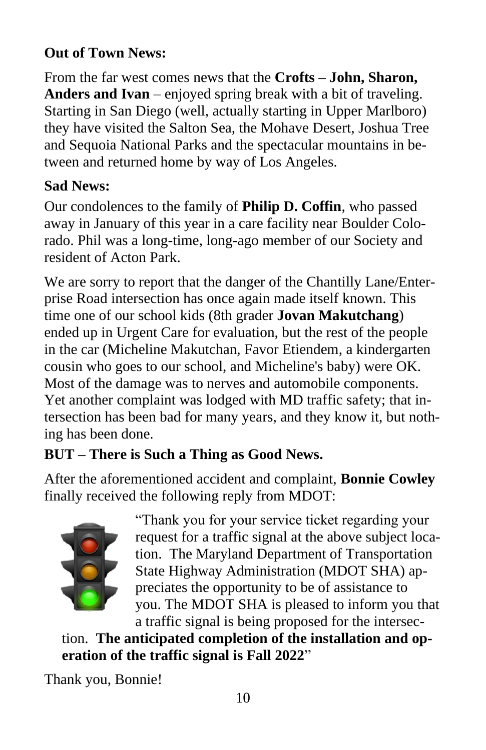#### **Out of Town News:**

From the far west comes news that the **Crofts – John, Sharon, Anders and Ivan** – enjoyed spring break with a bit of traveling. Starting in San Diego (well, actually starting in Upper Marlboro) they have visited the Salton Sea, the Mohave Desert, Joshua Tree and Sequoia National Parks and the spectacular mountains in between and returned home by way of Los Angeles.

#### **Sad News:**

Our condolences to the family of **Philip D. Coffin**, who passed away in January of this year in a care facility near Boulder Colorado. Phil was a long-time, long-ago member of our Society and resident of Acton Park.

We are sorry to report that the danger of the Chantilly Lane/Enterprise Road intersection has once again made itself known. This time one of our school kids (8th grader **Jovan Makutchang**) ended up in Urgent Care for evaluation, but the rest of the people in the car (Micheline Makutchan, Favor Etiendem, a kindergarten cousin who goes to our school, and Micheline's baby) were OK. Most of the damage was to nerves and automobile components. Yet another complaint was lodged with MD traffic safety; that intersection has been bad for many years, and they know it, but nothing has been done.

## **BUT – There is Such a Thing as Good News.**

After the aforementioned accident and complaint, **Bonnie Cowley** finally received the following reply from MDOT:



"Thank you for your service ticket regarding your request for a traffic signal at the above subject location. The Maryland Department of Transportation State Highway Administration (MDOT SHA) appreciates the opportunity to be of assistance to you. The MDOT SHA is pleased to inform you that a traffic signal is being proposed for the intersec-

tion. **The anticipated completion of the installation and operation of the traffic signal is Fall 2022**"

Thank you, Bonnie!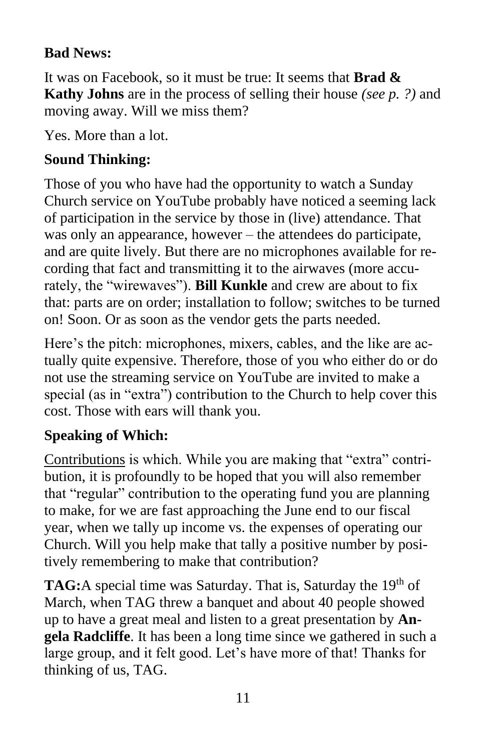#### **Bad News:**

It was on Facebook, so it must be true: It seems that **Brad & Kathy Johns** are in the process of selling their house *(see p. ?)* and moving away. Will we miss them?

Yes. More than a lot.

## **Sound Thinking:**

Those of you who have had the opportunity to watch a Sunday Church service on YouTube probably have noticed a seeming lack of participation in the service by those in (live) attendance. That was only an appearance, however – the attendees do participate, and are quite lively. But there are no microphones available for recording that fact and transmitting it to the airwaves (more accurately, the "wirewaves"). **Bill Kunkle** and crew are about to fix that: parts are on order; installation to follow; switches to be turned on! Soon. Or as soon as the vendor gets the parts needed.

Here's the pitch: microphones, mixers, cables, and the like are actually quite expensive. Therefore, those of you who either do or do not use the streaming service on YouTube are invited to make a special (as in "extra") contribution to the Church to help cover this cost. Those with ears will thank you.

#### **Speaking of Which:**

Contributions is which. While you are making that "extra" contribution, it is profoundly to be hoped that you will also remember that "regular" contribution to the operating fund you are planning to make, for we are fast approaching the June end to our fiscal year, when we tally up income vs. the expenses of operating our Church. Will you help make that tally a positive number by positively remembering to make that contribution?

**TAG:**A special time was Saturday. That is, Saturday the 19<sup>th</sup> of March, when TAG threw a banquet and about 40 people showed up to have a great meal and listen to a great presentation by **Angela Radcliffe**. It has been a long time since we gathered in such a large group, and it felt good. Let's have more of that! Thanks for thinking of us, TAG.